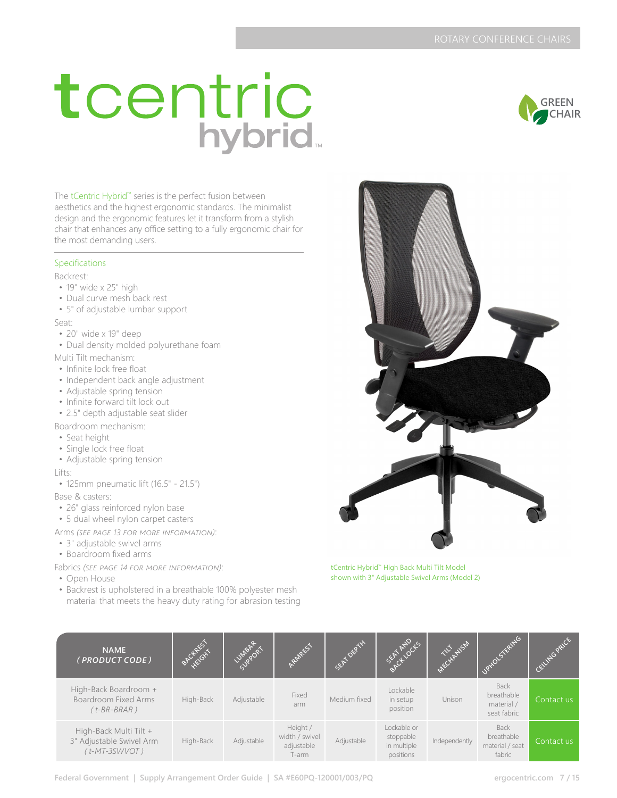# tcentric<br>hybrid

The tCentric Hybrid™ series is the perfect fusion between aesthetics and the highest ergonomic standards. The minimalist design and the ergonomic features let it transform from a stylish chair that enhances any office setting to a fully ergonomic chair for the most demanding users.

#### Specifications

Backrest:

- 19" wide x 25" high
- Dual curve mesh back rest
- 5" of adjustable lumbar support

Seat:

- 20" wide x 19" deep
- Dual density molded polyurethane foam

Multi Tilt mechanism:

- Infinite lock free float
- Independent back angle adjustment
- Adjustable spring tension
- Infinite forward tilt lock out
- 2.5" depth adjustable seat slider

Boardroom mechanism:

- Seat height
- Single lock free float
- Adjustable spring tension

Lifts:

• 125mm pneumatic lift (16.5" - 21.5")

Base & casters:

- 26" glass reinforced nylon base
- 5 dual wheel nylon carpet casters

Arms *(see page 13 for more information)*:

- 3" adjustable swivel arms
- Boardroom fixed arms

Fabrics *(see page 14 for more information)*:

- Open House
- Backrest is upholstered in a breathable 100% polyester mesh material that meets the heavy duty rating for abrasion testing



tCentric Hybrid™ High Back Multi Tilt Model shown with 3" Adjustable Swivel Arms (Model 2)

| <b>NAME</b><br>(PRODUCT CODE)                                          | BACKREST  | <b>UMBART</b> | REET                                              | SEAT DEPTH   | SEAT AND CLS                                         | <b>ALL WSAL</b> | Jaxo Stands                                            | ING PALCE  |
|------------------------------------------------------------------------|-----------|---------------|---------------------------------------------------|--------------|------------------------------------------------------|-----------------|--------------------------------------------------------|------------|
| High-Back Boardroom +<br>Boardroom Fixed Arms<br>$(t-BR-BRAR)$         | High-Back | Adjustable    | Fixed<br>arm                                      | Medium fixed | Lockable<br>in setup<br>position                     | Unison          | <b>Back</b><br>breathable<br>material /<br>seat fabric | Contact us |
| High-Back Multi Tilt +<br>3" Adjustable Swivel Arm<br>$(t$ -MT-3SWVOT) | High-Back | Adjustable    | Height /<br>width / swivel<br>adjustable<br>T-arm | Adjustable   | Lockable or<br>stoppable<br>in multiple<br>positions | Independently   | <b>Back</b><br>breathable<br>material / seat<br>fabric | Contact us |



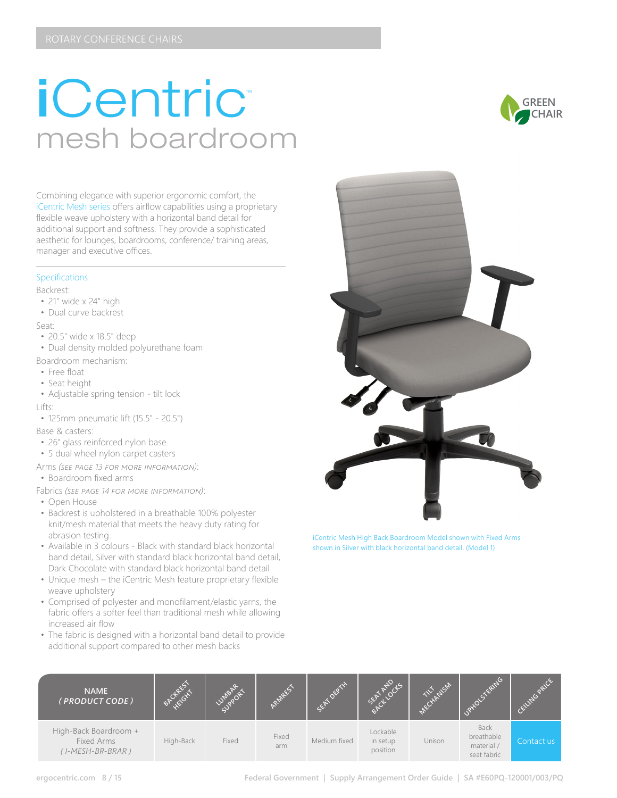## *iCentric* mesh boardroom



#### Specifications

Backrest:

- 21" wide x 24" high
- Dual curve backrest

Seat:

- 20.5" wide x 18.5" deep
- Dual density molded polyurethane foam

Boardroom mechanism:

- Free float
- Seat height
- Adjustable spring tension tilt lock Lifts:
- 125mm pneumatic lift (15.5" 20.5")

Base & casters:

- 26" glass reinforced nylon base
- 5 dual wheel nylon carpet casters
- Arms *(see page 13 for more information)*: • Boardroom fixed arms

Fabrics *(see page 14 for more information)*:

- Open House
- Backrest is upholstered in a breathable 100% polyester knit/mesh material that meets the heavy duty rating for abrasion testing.
- Available in 3 colours Black with standard black horizontal band detail, Silver with standard black horizontal band detail, Dark Chocolate with standard black horizontal band detail
- Unique mesh the iCentric Mesh feature proprietary flexible weave upholstery
- Comprised of polyester and monofilament/elastic yarns, the fabric offers a softer feel than traditional mesh while allowing increased air flow
- The fabric is designed with a horizontal band detail to provide additional support compared to other mesh backs





iCentric Mesh High Back Boardroom Model shown with Fixed Arms shown in Silver with black horizontal band detail. (Model 1)